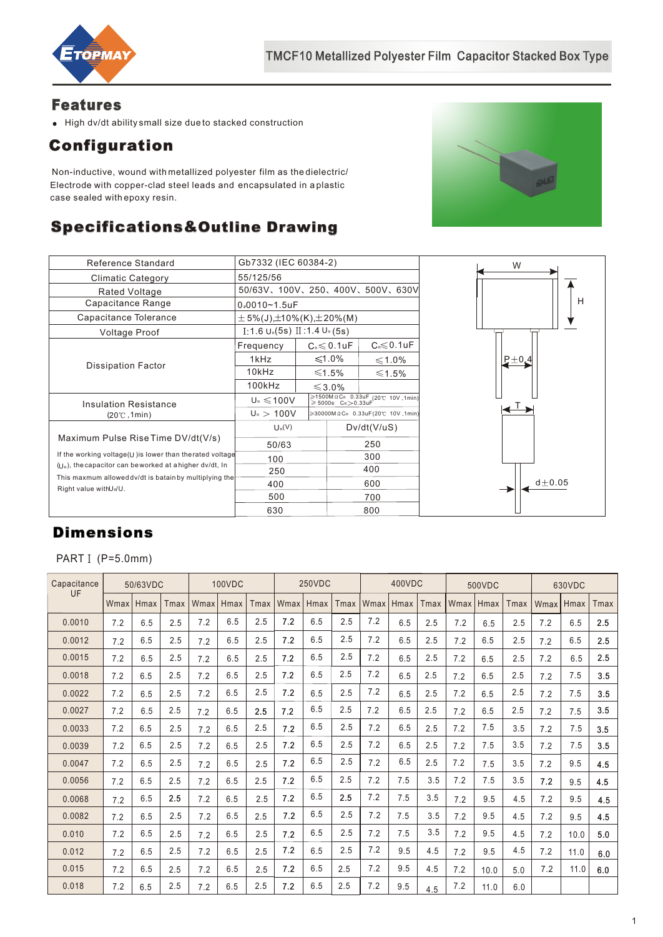

### Features

High dv/dt ability small size due to stacked construction

# Configuration

 Non-inductive, wound with metallized polyester film as the dielectric/ Electrode with copper-clad steel leads and encapsulated in a plastic case sealed with epoxy resin.

## Specifications&Outline Drawing



| Reference Standard                                                             | Gb7332 (IEC 60384-2)                          |  |                                       |                                                                           |  |  |  |
|--------------------------------------------------------------------------------|-----------------------------------------------|--|---------------------------------------|---------------------------------------------------------------------------|--|--|--|
| <b>Climatic Category</b>                                                       | 55/125/56                                     |  |                                       |                                                                           |  |  |  |
| Rated Voltage                                                                  | 50/63V、100V、250、400V、500V、630V                |  |                                       |                                                                           |  |  |  |
| Capacitance Range                                                              | $0.0010 - 1.5$ uF                             |  |                                       |                                                                           |  |  |  |
| Capacitance Tolerance                                                          | $\pm$ 5%(J), $\pm$ 10%(K), $\pm$ 20%(M)       |  |                                       |                                                                           |  |  |  |
| <b>Voltage Proof</b>                                                           | $[.1.6 \cup \{.5s\} \times 1.4 \cup \{.5s\}]$ |  |                                       |                                                                           |  |  |  |
|                                                                                | Frequency                                     |  | $C_{\text{\tiny R}} \leqslant 0.1$ uF | $C \le 0.1$ uF                                                            |  |  |  |
|                                                                                | 1kHz                                          |  | $≤1.0%$                               | ≤1.0%                                                                     |  |  |  |
| <b>Dissipation Factor</b>                                                      | 10kHz                                         |  | ≤1.5%                                 | ≤1.5%                                                                     |  |  |  |
|                                                                                | 100kHz                                        |  | $\leqslant$ 3.0%                      |                                                                           |  |  |  |
| <b>Insulation Resistance</b>                                                   | $U_{R} \le 100V$                              |  |                                       | $\geqslant$ 1500ΜΩCR 0.33uF (20℃ 10V,1min)<br>$\geqslant$ 5000s CR>0.33uF |  |  |  |
| $(20^{\circ}$ C, 1min)                                                         | $U_{R} > 100V$                                |  | ≥30000MΩCR 0.33uF(20℃ 10V,1min)       |                                                                           |  |  |  |
|                                                                                | $U_R(V)$                                      |  | Dv/dt(V/uS)                           |                                                                           |  |  |  |
| Maximum Pulse Rise Time DV/dt(V/s)                                             | 50/63                                         |  | 250                                   |                                                                           |  |  |  |
| If the working voltage(U) is lower than therated voltage                       | 100                                           |  | 300                                   |                                                                           |  |  |  |
| $(1)$ , the capacitor can be worked at a higher dv/dt, In                      | 250                                           |  | 400                                   |                                                                           |  |  |  |
| This maxmum allowed dv/dt is batain by multiplying the<br>Right value withUNU. | 400                                           |  | 600                                   |                                                                           |  |  |  |
|                                                                                | 500                                           |  | 700                                   |                                                                           |  |  |  |
|                                                                                | 630                                           |  | 800                                   |                                                                           |  |  |  |



# Dimensions

PART I (P=5.0mm)

| Capacitance<br>UF | 50/63VDC |      | <b>100VDC</b> |      |      | 250VDC |      |      | 400VDC       |      |      | 500VDC      |      |      | 630VDC |      |      |      |
|-------------------|----------|------|---------------|------|------|--------|------|------|--------------|------|------|-------------|------|------|--------|------|------|------|
|                   | Wmax     | Hmax | Tmax          | Wmax | Hmax | Tmax   | Wmax | Hmax | <b>T</b> max | Wmax | Hmax | <b>Tmax</b> | Wmax | Hmax | Tmax   | Wmax | Hmax | Tmax |
| 0.0010            | 7.2      | 6.5  | 2.5           | 7.2  | 6.5  | 2.5    | 7.2  | 6.5  | 2.5          | 7.2  | 6.5  | 2.5         | 7.2  | 6.5  | 2.5    | 7.2  | 6.5  | 2.5  |
| 0.0012            | 7.2      | 6.5  | 2.5           | 7.2  | 6.5  | 2.5    | 7.2  | 6.5  | 2.5          | 7.2  | 6.5  | 2.5         | 7.2  | 6.5  | 2.5    | 7.2  | 6.5  | 2.5  |
| 0.0015            | 7.2      | 6.5  | 2.5           | 7.2  | 6.5  | 2.5    | 7.2  | 6.5  | 2.5          | 7.2  | 6.5  | 2.5         | 7.2  | 6.5  | 2.5    | 7.2  | 6.5  | 2.5  |
| 0.0018            | 7.2      | 6.5  | 2.5           | 7.2  | 6.5  | 2.5    | 7.2  | 6.5  | 2.5          | 7.2  | 6.5  | 2.5         | 7.2  | 6.5  | 2.5    | 7.2  | 7.5  | 3.5  |
| 0.0022            | 7.2      | 6.5  | 2.5           | 7.2  | 6.5  | 2.5    | 7.2  | 6.5  | 2.5          | 7.2  | 6.5  | 2.5         | 7.2  | 6.5  | 2.5    | 7.2  | 7.5  | 3.5  |
| 0.0027            | 7.2      | 6.5  | 2.5           | 7.2  | 6.5  | 2.5    | 7.2  | 6.5  | 2.5          | 7.2  | 6.5  | 2.5         | 7.2  | 6.5  | 2.5    | 7.2  | 7.5  | 3.5  |
| 0.0033            | 7.2      | 6.5  | 2.5           | 7.2  | 6.5  | 2.5    | 7.2  | 6.5  | 2.5          | 7.2  | 6.5  | 2.5         | 7.2  | 7.5  | 3.5    | 7.2  | 7.5  | 3.5  |
| 0.0039            | 7.2      | 6.5  | 2.5           | 7.2  | 6.5  | 2.5    | 7.2  | 6.5  | 2.5          | 7.2  | 6.5  | 2.5         | 7.2  | 7.5  | 3.5    | 7.2  | 7.5  | 3.5  |
| 0.0047            | 7.2      | 6.5  | 2.5           | 7.2  | 6.5  | 2.5    | 7.2  | 6.5  | 2.5          | 7.2  | 6.5  | 2.5         | 7.2  | 7.5  | 3.5    | 7.2  | 9.5  | 4.5  |
| 0.0056            | 7.2      | 6.5  | 2.5           | 7.2  | 6.5  | 2.5    | 7.2  | 6.5  | 2.5          | 7.2  | 7.5  | 3.5         | 7.2  | 7.5  | 3.5    | 7.2  | 9.5  | 4.5  |
| 0.0068            | 7.2      | 6.5  | 2.5           | 7.2  | 6.5  | 2.5    | 7.2  | 6.5  | 2.5          | 7.2  | 7.5  | 3.5         | 7.2  | 9.5  | 4.5    | 7.2  | 9.5  | 4.5  |
| 0.0082            | 7.2      | 6.5  | 2.5           | 7.2  | 6.5  | 2.5    | 7.2  | 6.5  | 2.5          | 7.2  | 7.5  | 3.5         | 7.2  | 9.5  | 4.5    | 7.2  | 9.5  | 4.5  |
| 0.010             | 7.2      | 6.5  | 2.5           | 7.2  | 6.5  | 2.5    | 7.2  | 6.5  | 2.5          | 7.2  | 7.5  | 3.5         | 7.2  | 9.5  | 4.5    | 7.2  | 10.0 | 5.0  |
| 0.012             | 7.2      | 6.5  | 2.5           | 7.2  | 6.5  | 2.5    | 7.2  | 6.5  | 2.5          | 7.2  | 9.5  | 4.5         | 7.2  | 9.5  | 4.5    | 7.2  | 11.0 | 6.0  |
| 0.015             | 7.2      | 6.5  | 2.5           | 7.2  | 6.5  | 2.5    | 7.2  | 6.5  | 2.5          | 7.2  | 9.5  | 4.5         | 7.2  | 10.0 | 5.0    | 7.2  | 11.0 | 6.0  |
| 0.018             | 7.2      | 6.5  | 2.5           | 7.2  | 6.5  | 2.5    | 7.2  | 6.5  | 2.5          | 7.2  | 9.5  | 4.5         | 7.2  | 11.0 | 6.0    |      |      |      |